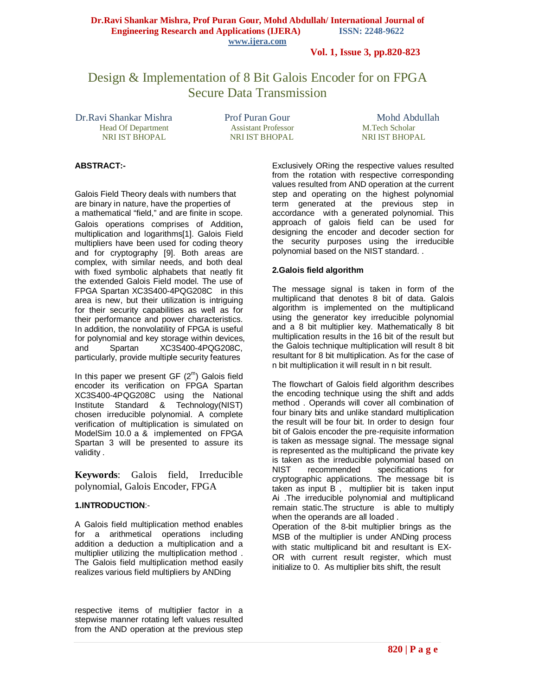**Vol. 1, Issue 3, pp.820-823**

## Design & Implementation of 8 Bit Galois Encoder for on FPGA Secure Data Transmission

Dr.Ravi Shankar Mishra Prof Puran Gour Mohd Abdullah Head Of Department Assistant Professor M.Tech Scholar<br>
NRI IST BHOPAL NRI IST BHOPAL NRI IST BHOPAL NRI IST BHOPAL

### **ABSTRACT:-**

Galois Field Theory deals with numbers that are binary in nature, have the properties of a mathematical "field," and are finite in scope.

Galois operations comprises of Addition, multiplication and logarithms[1]. Galois Field multipliers have been used for coding theory and for cryptography [9]. Both areas are complex, with similar needs, and both deal with fixed symbolic alphabets that neatly fit the extended Galois Field model. The use of FPGA Spartan XC3S400-4PQG208C in this area is new, but their utilization is intriguing for their security capabilities as well as for their performance and power characteristics. In addition, the nonvolatility of FPGA is useful for polynomial and key storage within devices, and Spartan XC3S400-4PQG208C, particularly, provide multiple security features

In this paper we present GF  $(2<sup>m</sup>)$  Galois field encoder its verification on FPGA Spartan XC3S400-4PQG208C using the National Institute Standard & Technology(NIST) chosen irreducible polynomial. A complete verification of multiplication is simulated on ModelSim 10.0 a & implemented on FPGA Spartan 3 will be presented to assure its validity .

**Keywords**: Galois field, Irreducible polynomial, Galois Encoder, FPGA

#### **1.INTRODUCTION**:-

A Galois field multiplication method enables for a arithmetical operations including addition a deduction a multiplication and a multiplier utilizing the multiplication method . The Galois field multiplication method easily realizes various field multipliers by ANDing

respective items of multiplier factor in a stepwise manner rotating left values resulted from the AND operation at the previous step

Exclusively ORing the respective values resulted from the rotation with respective corresponding values resulted from AND operation at the current step and operating on the highest polynomial term generated at the previous step in accordance with a generated polynomial. This approach of galois field can be used for designing the encoder and decoder section for the security purposes using the irreducible polynomial based on the NIST standard. .

#### **2.Galois field algorithm**

The message signal is taken in form of the multiplicand that denotes 8 bit of data. Galois algorithm is implemented on the multiplicand using the generator key irreducible polynomial and a 8 bit multiplier key. Mathematically 8 bit multiplication results in the 16 bit of the result but the Galois technique multiplication will result 8 bit resultant for 8 bit multiplication. As for the case of n bit multiplication it will result in n bit result.

The flowchart of Galois field algorithm describes the encoding technique using the shift and adds method . Operands will cover all combination of four binary bits and unlike standard multiplication the result will be four bit. In order to design four bit of Galois encoder the pre-requisite information is taken as message signal. The message signal is represented as the multiplicand the private key is taken as the irreducible polynomial based on<br>NIST recommended specifications for NIST recommended specifications cryptographic applications. The message bit is taken as input B , multiplier bit is taken input Ai .The irreducible polynomial and multiplicand remain static.The structure is able to multiply when the operands are all loaded .

Operation of the 8-bit multiplier brings as the MSB of the multiplier is under ANDing process with static multiplicand bit and resultant is EX-OR with current result register, which must initialize to 0. As multiplier bits shift, the result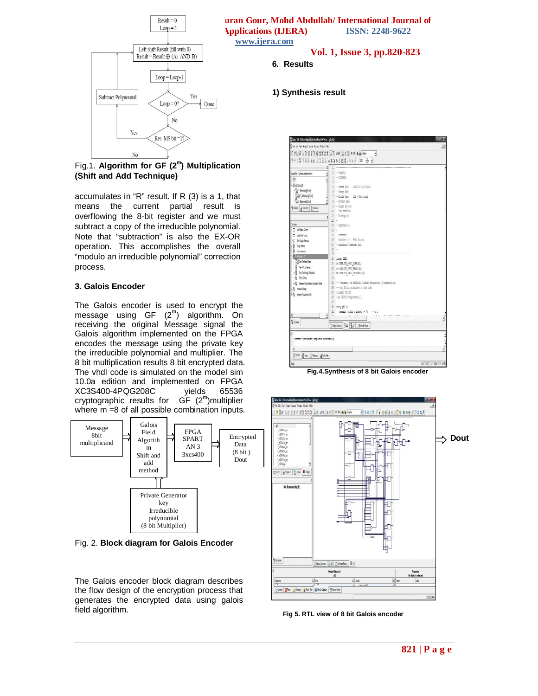

**Dr. Result = 0**<br> **Dr. Ravid Shankar Mishra, Prof Purantify Publications (J.H.P.A.)**<br> **Dr. R.C. R. R. R. R. R. 2018, 0622 EXECUTE: ENGINEERA)** ISSN: 2248-9622 **www.ijera.com** 

#### **6. Results**

#### **1) Synthesis result**

Fig.1. **Algorithm for GF (2<sup>m</sup> ) Multiplication (Shift and Add Technique)**

accumulates in "R" result. If R (3) is a 1, that means the current partial result is overflowing the 8-bit register and we must subtract a copy of the irreducible polynomial. Note that "subtraction" is also the EX-OR operation. This accomplishes the overall "modulo an irreducible polynomial" correction process.

#### **3. Galois Encoder**

The Galois encoder is used to encrypt the message using  $GF (2<sup>m</sup>)$  algorithm. On receiving the original Message signal the Galois algorithm implemented on the FPGA encodes the message using the private key the irreducible polynomial and multiplier. The 8 bit multiplication results 8 bit encrypted data. The vhdl code is simulated on the model sim 10.0a edition and implemented on FPGA XC3S400-4PQG208C vields cryptographic results for GF (2<sup>m</sup>)multiplier where m =8 of all possible combination inputs.



Fig. 2. **Block diagram for Galois Encoder**

The Galois encoder block diagram describes the flow design of the encryption process that generates the encrypted data using galois field algorithm.

| 8800 900 66 333 433388 0. 01 F W 383<br>x<br>$2 -$ Company:<br>Superford Systems Independent<br>$3 -$ Engineer:<br><b>Film</b><br>$i -$<br>$-0.856628$<br>5 - Create Bate: 11:37:51 06/07/2011<br>$\frac{1}{2}$ of 1-Selevine (gl Lvhd)<br>$6 -$ Desico Hane:<br>$-\sqrt{9245}$ belows (g2 nd)<br>7 - Hodule Hene: of1 - Behavioral<br><b>Det-Meine Blieb</b><br>B - Protect Name:<br>9 - Target Bevices:<br><sup>Bi</sup> Stuces   ej Stapitos     \Lbrates<br>$10 -$ Tool versions:<br>$ x $ 11 - Recription:<br>$12 -$<br>Provese:<br>$13 -$ Dependencies:<br>-TI Att Eeding Source<br>$16 -$<br>$15 - 1$ erisim:<br>Fill Ceate Versions<br>16 - Revision 0.01 - File Created<br>F.C. Ver Deigt Sunnay<br>17 - Miltimal Comenta: didd<br>$+3$ bas like<br>佳 …<br>- W Lie Contrarts<br>19<br>A Sebele - IST<br>20 library IEEC:<br><b>ROV</b> Ver Synthesis Report<br>21 use IEEE.STD LOGIC 1164.ALL;<br>R Tev FTL Stenato<br>22 use DEEE.STO LOGIC ARITH.BLL:<br>R liev Technology Schematic<br>23 use IEEE.STD LOGIC UNSUGHED.ALL:<br>(2) Check Syriax<br>$\mathcal{H}$<br>25 ---- Uncomment the following library declaration if instantiation<br>(e) Generale Pod-Synthesis Smultion Nobel<br>26 ---- any Hilinx primitives in this code.<br>(2) Interest Despt<br>27 -- Library OUSIN:<br>(-1) Greate Roganning File<br>28 -- use UNISIN. Womponents.all:<br>79.<br>30 entity of 2 is<br>31 generic   m bit : integer := 7; - n 1<br><sup>8</sup> hoeses<br>$\Sigma$ Deign Summay $\left \frac{\Gamma}{2}d\vec{k}\right \left \frac{\Omega}{2}d\vec{k}\right $ . The first Happing<br>Process "Synthesize" completed successfully |                                            |
|------------------------------------------------------------------------------------------------------------------------------------------------------------------------------------------------------------------------------------------------------------------------------------------------------------------------------------------------------------------------------------------------------------------------------------------------------------------------------------------------------------------------------------------------------------------------------------------------------------------------------------------------------------------------------------------------------------------------------------------------------------------------------------------------------------------------------------------------------------------------------------------------------------------------------------------------------------------------------------------------------------------------------------------------------------------------------------------------------------------------------------------------------------------------------------------------------------------------------------------------------------------------------------------------------------------------------------------------------------------------------------------------------------------------------------------------------------------------------------------------------------------------------------------------------------------------------------------------------------------------------------------|--------------------------------------------|
|                                                                                                                                                                                                                                                                                                                                                                                                                                                                                                                                                                                                                                                                                                                                                                                                                                                                                                                                                                                                                                                                                                                                                                                                                                                                                                                                                                                                                                                                                                                                                                                                                                          |                                            |
|                                                                                                                                                                                                                                                                                                                                                                                                                                                                                                                                                                                                                                                                                                                                                                                                                                                                                                                                                                                                                                                                                                                                                                                                                                                                                                                                                                                                                                                                                                                                                                                                                                          |                                            |
|                                                                                                                                                                                                                                                                                                                                                                                                                                                                                                                                                                                                                                                                                                                                                                                                                                                                                                                                                                                                                                                                                                                                                                                                                                                                                                                                                                                                                                                                                                                                                                                                                                          |                                            |
|                                                                                                                                                                                                                                                                                                                                                                                                                                                                                                                                                                                                                                                                                                                                                                                                                                                                                                                                                                                                                                                                                                                                                                                                                                                                                                                                                                                                                                                                                                                                                                                                                                          |                                            |
|                                                                                                                                                                                                                                                                                                                                                                                                                                                                                                                                                                                                                                                                                                                                                                                                                                                                                                                                                                                                                                                                                                                                                                                                                                                                                                                                                                                                                                                                                                                                                                                                                                          |                                            |
|                                                                                                                                                                                                                                                                                                                                                                                                                                                                                                                                                                                                                                                                                                                                                                                                                                                                                                                                                                                                                                                                                                                                                                                                                                                                                                                                                                                                                                                                                                                                                                                                                                          |                                            |
|                                                                                                                                                                                                                                                                                                                                                                                                                                                                                                                                                                                                                                                                                                                                                                                                                                                                                                                                                                                                                                                                                                                                                                                                                                                                                                                                                                                                                                                                                                                                                                                                                                          |                                            |
|                                                                                                                                                                                                                                                                                                                                                                                                                                                                                                                                                                                                                                                                                                                                                                                                                                                                                                                                                                                                                                                                                                                                                                                                                                                                                                                                                                                                                                                                                                                                                                                                                                          |                                            |
|                                                                                                                                                                                                                                                                                                                                                                                                                                                                                                                                                                                                                                                                                                                                                                                                                                                                                                                                                                                                                                                                                                                                                                                                                                                                                                                                                                                                                                                                                                                                                                                                                                          |                                            |
|                                                                                                                                                                                                                                                                                                                                                                                                                                                                                                                                                                                                                                                                                                                                                                                                                                                                                                                                                                                                                                                                                                                                                                                                                                                                                                                                                                                                                                                                                                                                                                                                                                          |                                            |
|                                                                                                                                                                                                                                                                                                                                                                                                                                                                                                                                                                                                                                                                                                                                                                                                                                                                                                                                                                                                                                                                                                                                                                                                                                                                                                                                                                                                                                                                                                                                                                                                                                          |                                            |
|                                                                                                                                                                                                                                                                                                                                                                                                                                                                                                                                                                                                                                                                                                                                                                                                                                                                                                                                                                                                                                                                                                                                                                                                                                                                                                                                                                                                                                                                                                                                                                                                                                          |                                            |
|                                                                                                                                                                                                                                                                                                                                                                                                                                                                                                                                                                                                                                                                                                                                                                                                                                                                                                                                                                                                                                                                                                                                                                                                                                                                                                                                                                                                                                                                                                                                                                                                                                          |                                            |
|                                                                                                                                                                                                                                                                                                                                                                                                                                                                                                                                                                                                                                                                                                                                                                                                                                                                                                                                                                                                                                                                                                                                                                                                                                                                                                                                                                                                                                                                                                                                                                                                                                          |                                            |
|                                                                                                                                                                                                                                                                                                                                                                                                                                                                                                                                                                                                                                                                                                                                                                                                                                                                                                                                                                                                                                                                                                                                                                                                                                                                                                                                                                                                                                                                                                                                                                                                                                          |                                            |
|                                                                                                                                                                                                                                                                                                                                                                                                                                                                                                                                                                                                                                                                                                                                                                                                                                                                                                                                                                                                                                                                                                                                                                                                                                                                                                                                                                                                                                                                                                                                                                                                                                          |                                            |
|                                                                                                                                                                                                                                                                                                                                                                                                                                                                                                                                                                                                                                                                                                                                                                                                                                                                                                                                                                                                                                                                                                                                                                                                                                                                                                                                                                                                                                                                                                                                                                                                                                          |                                            |
|                                                                                                                                                                                                                                                                                                                                                                                                                                                                                                                                                                                                                                                                                                                                                                                                                                                                                                                                                                                                                                                                                                                                                                                                                                                                                                                                                                                                                                                                                                                                                                                                                                          |                                            |
|                                                                                                                                                                                                                                                                                                                                                                                                                                                                                                                                                                                                                                                                                                                                                                                                                                                                                                                                                                                                                                                                                                                                                                                                                                                                                                                                                                                                                                                                                                                                                                                                                                          |                                            |
|                                                                                                                                                                                                                                                                                                                                                                                                                                                                                                                                                                                                                                                                                                                                                                                                                                                                                                                                                                                                                                                                                                                                                                                                                                                                                                                                                                                                                                                                                                                                                                                                                                          |                                            |
|                                                                                                                                                                                                                                                                                                                                                                                                                                                                                                                                                                                                                                                                                                                                                                                                                                                                                                                                                                                                                                                                                                                                                                                                                                                                                                                                                                                                                                                                                                                                                                                                                                          |                                            |
|                                                                                                                                                                                                                                                                                                                                                                                                                                                                                                                                                                                                                                                                                                                                                                                                                                                                                                                                                                                                                                                                                                                                                                                                                                                                                                                                                                                                                                                                                                                                                                                                                                          |                                            |
|                                                                                                                                                                                                                                                                                                                                                                                                                                                                                                                                                                                                                                                                                                                                                                                                                                                                                                                                                                                                                                                                                                                                                                                                                                                                                                                                                                                                                                                                                                                                                                                                                                          |                                            |
|                                                                                                                                                                                                                                                                                                                                                                                                                                                                                                                                                                                                                                                                                                                                                                                                                                                                                                                                                                                                                                                                                                                                                                                                                                                                                                                                                                                                                                                                                                                                                                                                                                          |                                            |
|                                                                                                                                                                                                                                                                                                                                                                                                                                                                                                                                                                                                                                                                                                                                                                                                                                                                                                                                                                                                                                                                                                                                                                                                                                                                                                                                                                                                                                                                                                                                                                                                                                          |                                            |
|                                                                                                                                                                                                                                                                                                                                                                                                                                                                                                                                                                                                                                                                                                                                                                                                                                                                                                                                                                                                                                                                                                                                                                                                                                                                                                                                                                                                                                                                                                                                                                                                                                          |                                            |
|                                                                                                                                                                                                                                                                                                                                                                                                                                                                                                                                                                                                                                                                                                                                                                                                                                                                                                                                                                                                                                                                                                                                                                                                                                                                                                                                                                                                                                                                                                                                                                                                                                          |                                            |
|                                                                                                                                                                                                                                                                                                                                                                                                                                                                                                                                                                                                                                                                                                                                                                                                                                                                                                                                                                                                                                                                                                                                                                                                                                                                                                                                                                                                                                                                                                                                                                                                                                          |                                            |
|                                                                                                                                                                                                                                                                                                                                                                                                                                                                                                                                                                                                                                                                                                                                                                                                                                                                                                                                                                                                                                                                                                                                                                                                                                                                                                                                                                                                                                                                                                                                                                                                                                          |                                            |
|                                                                                                                                                                                                                                                                                                                                                                                                                                                                                                                                                                                                                                                                                                                                                                                                                                                                                                                                                                                                                                                                                                                                                                                                                                                                                                                                                                                                                                                                                                                                                                                                                                          |                                            |
|                                                                                                                                                                                                                                                                                                                                                                                                                                                                                                                                                                                                                                                                                                                                                                                                                                                                                                                                                                                                                                                                                                                                                                                                                                                                                                                                                                                                                                                                                                                                                                                                                                          |                                            |
|                                                                                                                                                                                                                                                                                                                                                                                                                                                                                                                                                                                                                                                                                                                                                                                                                                                                                                                                                                                                                                                                                                                                                                                                                                                                                                                                                                                                                                                                                                                                                                                                                                          |                                            |
|                                                                                                                                                                                                                                                                                                                                                                                                                                                                                                                                                                                                                                                                                                                                                                                                                                                                                                                                                                                                                                                                                                                                                                                                                                                                                                                                                                                                                                                                                                                                                                                                                                          |                                            |
|                                                                                                                                                                                                                                                                                                                                                                                                                                                                                                                                                                                                                                                                                                                                                                                                                                                                                                                                                                                                                                                                                                                                                                                                                                                                                                                                                                                                                                                                                                                                                                                                                                          |                                            |
|                                                                                                                                                                                                                                                                                                                                                                                                                                                                                                                                                                                                                                                                                                                                                                                                                                                                                                                                                                                                                                                                                                                                                                                                                                                                                                                                                                                                                                                                                                                                                                                                                                          |                                            |
|                                                                                                                                                                                                                                                                                                                                                                                                                                                                                                                                                                                                                                                                                                                                                                                                                                                                                                                                                                                                                                                                                                                                                                                                                                                                                                                                                                                                                                                                                                                                                                                                                                          |                                            |
|                                                                                                                                                                                                                                                                                                                                                                                                                                                                                                                                                                                                                                                                                                                                                                                                                                                                                                                                                                                                                                                                                                                                                                                                                                                                                                                                                                                                                                                                                                                                                                                                                                          |                                            |
|                                                                                                                                                                                                                                                                                                                                                                                                                                                                                                                                                                                                                                                                                                                                                                                                                                                                                                                                                                                                                                                                                                                                                                                                                                                                                                                                                                                                                                                                                                                                                                                                                                          |                                            |
| Coste OEns   Nanto   Bindiniles                                                                                                                                                                                                                                                                                                                                                                                                                                                                                                                                                                                                                                                                                                                                                                                                                                                                                                                                                                                                                                                                                                                                                                                                                                                                                                                                                                                                                                                                                                                                                                                                          | <b>Und Col 29   CAPS INJIN SCR.   NHOL</b> |

 **Fig.4.Synthesis of 8 bit Galois encoder**



**Fig 5. RTL view of 8 bit Galois encoder**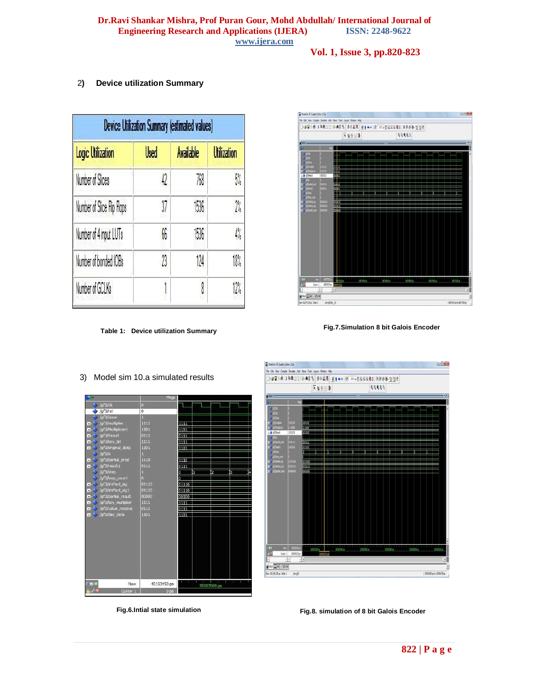#### **Dr.Ravi Shankar Mishra, Prof Puran Gour, Mohd Abdullah/ International Journal of Engineering Research and Applications (IJERA) ISSN: 2248-9622 www.ijera.com**

#### **Vol. 1, Issue 3, pp.820-823**

#### 2**) Device utilization Summary**

| Device Utilization Summary (estimated values) |      |                  |                    |  |  |  |
|-----------------------------------------------|------|------------------|--------------------|--|--|--|
| <b>Logic Utilization</b>                      | Used | <b>Available</b> | <b>Utilization</b> |  |  |  |
| Number of Slices                              | 42   | 768              | 5%                 |  |  |  |
| Number of Slice Flip Flops                    | 37   | 1536             | 2 <sub>b</sub>     |  |  |  |
| Number of 4 input LUTs                        | 66   | 1536             | 4%                 |  |  |  |
| Number of bonded IOBs                         | 23   | 124              | 18%                |  |  |  |
| Number of GCLKs                               |      | 8                | 2 <sub>b</sub>     |  |  |  |

**Table 1: Device utilization Summary**

# $\overline{\mathbf{M}}$  ModelSim PE Student Edition 10.0a 下海生活 99995 п  $\boxed{\text{if} \text{Nse} \text{if} \text{in} \text{if} \text{Nse}}$  $68176343$  ps to  $68077339$  ps Nov: 68,077,250 ps Oelta: 0 smightine

 **Fig.7.Simulation 8 bit Galois Encoder**



**Fig.6.Intial state simulation**



**Fig.8. simulation of 8 bit Galois Encoder**

3) Model sim 10.a simulated results